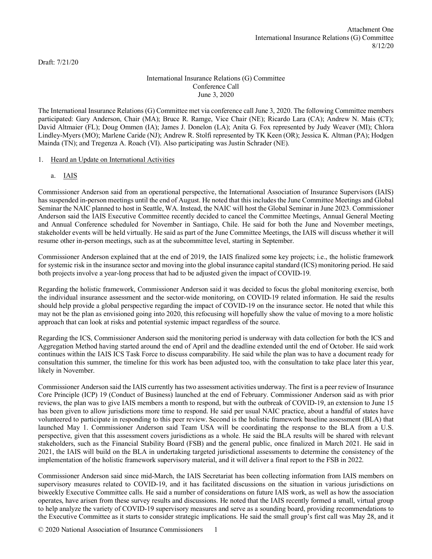Draft: 7/21/20

# International Insurance Relations (G) Committee Conference Call June 3, 2020

The International Insurance Relations (G) Committee met via conference call June 3, 2020. The following Committee members participated: Gary Anderson, Chair (MA); Bruce R. Ramge, Vice Chair (NE); Ricardo Lara (CA); Andrew N. Mais (CT); David Altmaier (FL); Doug Ommen (IA); James J. Donelon (LA); Anita G. Fox represented by Judy Weaver (MI); Chlora Lindley-Myers (MO); Marlene Caride (NJ); Andrew R. Stolfi represented by TK Keen (OR); Jessica K. Altman (PA); Hodgen Mainda (TN); and Tregenza A. Roach (VI). Also participating was Justin Schrader (NE).

# 1. Heard an Update on International Activities

a. IAIS

Commissioner Anderson said from an operational perspective, the International Association of Insurance Supervisors (IAIS) has suspended in-person meetings until the end of August. He noted that this includes the June Committee Meetings and Global Seminar the NAIC planned to host in Seattle, WA. Instead, the NAIC will host the Global Seminar in June 2023. Commissioner Anderson said the IAIS Executive Committee recently decided to cancel the Committee Meetings, Annual General Meeting and Annual Conference scheduled for November in Santiago, Chile. He said for both the June and November meetings, stakeholder events will be held virtually. He said as part of the June Committee Meetings, the IAIS will discuss whether it will resume other in-person meetings, such as at the subcommittee level, starting in September.

Commissioner Anderson explained that at the end of 2019, the IAIS finalized some key projects; i.e., the holistic framework for systemic risk in the insurance sector and moving into the global insurance capital standard (ICS) monitoring period. He said both projects involve a year-long process that had to be adjusted given the impact of COVID-19.

Regarding the holistic framework, Commissioner Anderson said it was decided to focus the global monitoring exercise, both the individual insurance assessment and the sector-wide monitoring, on COVID-19 related information. He said the results should help provide a global perspective regarding the impact of COVID-19 on the insurance sector. He noted that while this may not be the plan as envisioned going into 2020, this refocusing will hopefully show the value of moving to a more holistic approach that can look at risks and potential systemic impact regardless of the source.

Regarding the ICS, Commissioner Anderson said the monitoring period is underway with data collection for both the ICS and Aggregation Method having started around the end of April and the deadline extended until the end of October. He said work continues within the IAIS ICS Task Force to discuss comparability. He said while the plan was to have a document ready for consultation this summer, the timeline for this work has been adjusted too, with the consultation to take place later this year, likely in November.

Commissioner Anderson said the IAIS currently has two assessment activities underway. The first is a peer review of Insurance Core Principle (ICP) 19 (Conduct of Business) launched at the end of February. Commissioner Anderson said as with prior reviews, the plan was to give IAIS members a month to respond, but with the outbreak of COVID-19, an extension to June 15 has been given to allow jurisdictions more time to respond. He said per usual NAIC practice, about a handful of states have volunteered to participate in responding to this peer review. Second is the holistic framework baseline assessment (BLA) that launched May 1. Commissioner Anderson said Team USA will be coordinating the response to the BLA from a U.S. perspective, given that this assessment covers jurisdictions as a whole. He said the BLA results will be shared with relevant stakeholders, such as the Financial Stability Board (FSB) and the general public, once finalized in March 2021. He said in 2021, the IAIS will build on the BLA in undertaking targeted jurisdictional assessments to determine the consistency of the implementation of the holistic framework supervisory material, and it will deliver a final report to the FSB in 2022.

Commissioner Anderson said since mid-March, the IAIS Secretariat has been collecting information from IAIS members on supervisory measures related to COVID-19, and it has facilitated discussions on the situation in various jurisdictions on biweekly Executive Committee calls. He said a number of considerations on future IAIS work, as well as how the association operates, have arisen from these survey results and discussions. He noted that the IAIS recently formed a small, virtual group to help analyze the variety of COVID-19 supervisory measures and serve as a sounding board, providing recommendations to the Executive Committee as it starts to consider strategic implications. He said the small group's first call was May 28, and it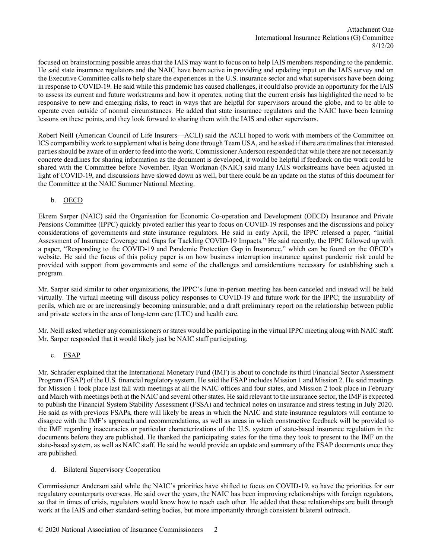focused on brainstorming possible areas that the IAIS may want to focus on to help IAIS members responding to the pandemic. He said state insurance regulators and the NAIC have been active in providing and updating input on the IAIS survey and on the Executive Committee calls to help share the experiences in the U.S. insurance sector and what supervisors have been doing in response to COVID-19. He said while this pandemic has caused challenges, it could also provide an opportunity for the IAIS to assess its current and future workstreams and how it operates, noting that the current crisis has highlighted the need to be responsive to new and emerging risks, to react in ways that are helpful for supervisors around the globe, and to be able to operate even outside of normal circumstances. He added that state insurance regulators and the NAIC have been learning lessons on these points, and they look forward to sharing them with the IAIS and other supervisors.

Robert Neill (American Council of Life Insurers—ACLI) said the ACLI hoped to work with members of the Committee on ICS comparability work to supplement what is being done through Team USA, and he asked if there are timelines that interested parties should be aware of in order to feed into the work. Commissioner Anderson responded that while there are not necessarily concrete deadlines for sharing information as the document is developed, it would be helpful if feedback on the work could be shared with the Committee before November. Ryan Workman (NAIC) said many IAIS workstreams have been adjusted in light of COVID-19, and discussions have slowed down as well, but there could be an update on the status of this document for the Committee at the NAIC Summer National Meeting.

# b. OECD

Ekrem Sarper (NAIC) said the Organisation for Economic Co-operation and Development (OECD) Insurance and Private Pensions Committee (IPPC) quickly pivoted earlier this year to focus on COVID-19 responses and the discussions and policy considerations of governments and state insurance regulators. He said in early April, the IPPC released a paper, "Initial Assessment of Insurance Coverage and Gaps for Tackling COVID-19 Impacts." He said recently, the IPPC followed up with a paper, "Responding to the COVID-19 and Pandemic Protection Gap in Insurance," which can be found on the OECD's website. He said the focus of this policy paper is on how business interruption insurance against pandemic risk could be provided with support from governments and some of the challenges and considerations necessary for establishing such a program.

Mr. Sarper said similar to other organizations, the IPPC's June in-person meeting has been canceled and instead will be held virtually. The virtual meeting will discuss policy responses to COVID-19 and future work for the IPPC; the insurability of perils, which are or are increasingly becoming uninsurable; and a draft preliminary report on the relationship between public and private sectors in the area of long-term care (LTC) and health care.

Mr. Neill asked whether any commissioners or states would be participating in the virtual IPPC meeting along with NAIC staff. Mr. Sarper responded that it would likely just be NAIC staff participating.

# c. FSAP

Mr. Schrader explained that the International Monetary Fund (IMF) is about to conclude its third Financial Sector Assessment Program (FSAP) of the U.S. financial regulatory system. He said the FSAP includes Mission 1 and Mission 2. He said meetings for Mission 1 took place last fall with meetings at all the NAIC offices and four states, and Mission 2 took place in February and March with meetings both at the NAIC and several other states. He said relevant to the insurance sector, the IMF is expected to publish the Financial System Stability Assessment (FSSA) and technical notes on insurance and stress testing in July 2020. He said as with previous FSAPs, there will likely be areas in which the NAIC and state insurance regulators will continue to disagree with the IMF's approach and recommendations, as well as areas in which constructive feedback will be provided to the IMF regarding inaccuracies or particular characterizations of the U.S. system of state-based insurance regulation in the documents before they are published. He thanked the participating states for the time they took to present to the IMF on the state-based system, as well as NAIC staff. He said he would provide an update and summary of the FSAP documents once they are published.

# d. Bilateral Supervisory Cooperation

Commissioner Anderson said while the NAIC's priorities have shifted to focus on COVID-19, so have the priorities for our regulatory counterparts overseas. He said over the years, the NAIC has been improving relationships with foreign regulators, so that in times of crisis, regulators would know how to reach each other. He added that these relationships are built through work at the IAIS and other standard-setting bodies, but more importantly through consistent bilateral outreach.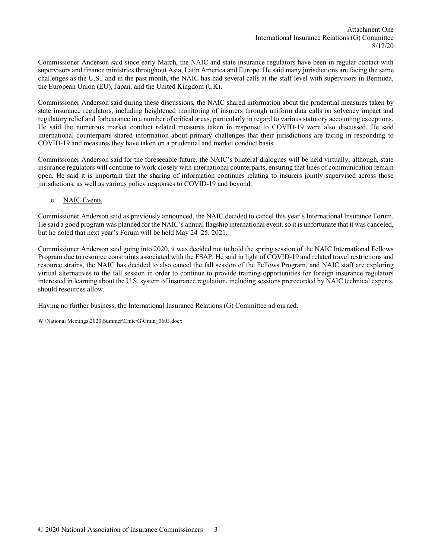Commissioner Anderson said since early March, the NAIC and state insurance regulators have been in regular contact with supervisors and finance ministries throughout Asia, Latin America and Europe. He said many jurisdictions are facing the same challenges as the U.S., and in the past month, the NAIC has had several calls at the staff level with supervisors in Bermuda, the European Union (EU), Japan, and the United Kingdom (UK).

Commissioner Anderson said during these discussions, the NAIC shared information about the prudential measures taken by state insurance regulators, including heightened monitoring of insurers through uniform data calls on solvency impact and regulatory relief and forbearance in a number of critical areas, particularly in regard to various statutory accounting exceptions. He said the numerous market conduct related measures taken in response to COVID-19 were also discussed. He said international counterparts shared information about primary challenges that their jurisdictions are facing in responding to COVID-19 and measures they have taken on a prudential and market conduct basis.

Commissioner Anderson said for the foreseeable future, the NAIC's bilateral dialogues will be held virtually; although, state insurance regulators will continue to work closely with international counterparts, ensuring that lines of communication remain open. He said it is important that the sharing of information continues relating to insurers jointly supervised across those jurisdictions, as well as various policy responses to COVID-19 and beyond.

e. NAIC Events

Commissioner Anderson said as previously announced, the NAIC decided to cancel this year's International Insurance Forum. He said a good program was planned for the NAIC's annual flagship international event, so it is unfortunate that it was canceled, but he noted that next year's Forum will be held May 24–25, 2021.

Commissioner Anderson said going into 2020, it was decided not to hold the spring session of the NAIC International Fellows Program due to resource constraints associated with the FSAP. He said in light of COVID-19 and related travel restrictions and resource strains, the NAIC has decided to also cancel the fall session of the Fellows Program, and NAIC staff are exploring virtual alternatives to the fall session in order to continue to provide training opportunities for foreign insurance regulators interested in learning about the U.S. system of insurance regulation, including sessions prerecorded by NAIC technical experts, should resources allow.

Having no further business, the International Insurance Relations (G) Committee adjourned.

W:\National Meetings\2020\Summer\Cmte\G\Gmin\_0603.docx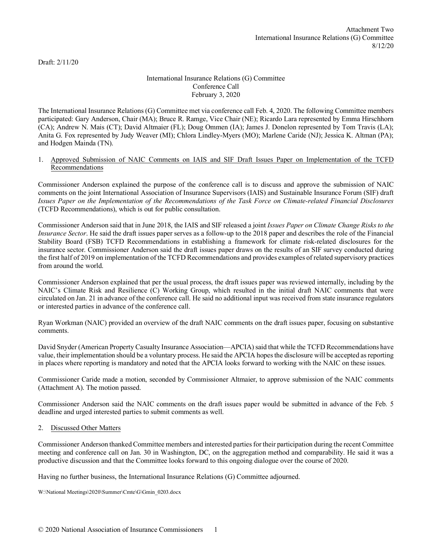Draft: 2/11/20

# International Insurance Relations (G) Committee Conference Call February 3, 2020

The International Insurance Relations (G) Committee met via conference call Feb. 4, 2020. The following Committee members participated: Gary Anderson, Chair (MA); Bruce R. Ramge, Vice Chair (NE); Ricardo Lara represented by Emma Hirschhorn (CA); Andrew N. Mais (CT); David Altmaier (FL); Doug Ommen (IA); James J. Donelon represented by Tom Travis (LA); Anita G. Fox represented by Judy Weaver (MI); Chlora Lindley-Myers (MO); Marlene Caride (NJ); Jessica K. Altman (PA); and Hodgen Mainda (TN).

#### 1. Approved Submission of NAIC Comments on IAIS and SIF Draft Issues Paper on Implementation of the TCFD Recommendations

Commissioner Anderson explained the purpose of the conference call is to discuss and approve the submission of NAIC comments on the joint International Association of Insurance Supervisors (IAIS) and Sustainable Insurance Forum (SIF) draft *Issues Paper on the Implementation of the Recommendations of the Task Force on Climate-related Financial Disclosures*  (TCFD Recommendations), which is out for public consultation.

Commissioner Anderson said that in June 2018, the IAIS and SIF released a joint *Issues Paper on Climate Change Risks to the Insurance Sector*. He said the draft issues paper serves as a follow-up to the 2018 paper and describes the role of the Financial Stability Board (FSB) TCFD Recommendations in establishing a framework for climate risk-related disclosures for the insurance sector. Commissioner Anderson said the draft issues paper draws on the results of an SIF survey conducted during the first half of 2019 on implementation of the TCFD Recommendations and provides examples of related supervisory practices from around the world.

Commissioner Anderson explained that per the usual process, the draft issues paper was reviewed internally, including by the NAIC's Climate Risk and Resilience (C) Working Group, which resulted in the initial draft NAIC comments that were circulated on Jan. 21 in advance of the conference call. He said no additional input was received from state insurance regulators or interested parties in advance of the conference call.

Ryan Workman (NAIC) provided an overview of the draft NAIC comments on the draft issues paper, focusing on substantive comments.

David Snyder (American Property Casualty Insurance Association—APCIA) said that while the TCFD Recommendations have value, their implementation should be a voluntary process. He said the APCIA hopes the disclosure will be accepted as reporting in places where reporting is mandatory and noted that the APCIA looks forward to working with the NAIC on these issues.

Commissioner Caride made a motion, seconded by Commissioner Altmaier, to approve submission of the NAIC comments (Attachment A). The motion passed.

Commissioner Anderson said the NAIC comments on the draft issues paper would be submitted in advance of the Feb. 5 deadline and urged interested parties to submit comments as well.

#### 2. Discussed Other Matters

Commissioner Anderson thanked Committee members and interested parties for their participation during the recent Committee meeting and conference call on Jan. 30 in Washington, DC, on the aggregation method and comparability. He said it was a productive discussion and that the Committee looks forward to this ongoing dialogue over the course of 2020.

Having no further business, the International Insurance Relations (G) Committee adjourned.

W:\National Meetings\2020\Summer\Cmte\G\Gmin\_0203.docx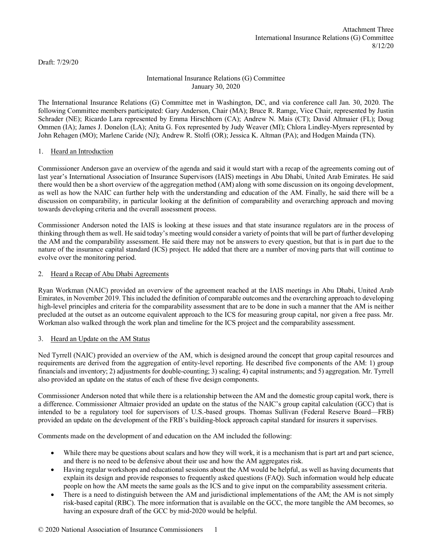Draft: 7/29/20

# International Insurance Relations (G) Committee January 30, 2020

The International Insurance Relations (G) Committee met in Washington, DC, and via conference call Jan. 30, 2020. The following Committee members participated: Gary Anderson, Chair (MA); Bruce R. Ramge, Vice Chair, represented by Justin Schrader (NE); Ricardo Lara represented by Emma Hirschhorn (CA); Andrew N. Mais (CT); David Altmaier (FL); Doug Ommen (IA); James J. Donelon (LA); Anita G. Fox represented by Judy Weaver (MI); Chlora Lindley-Myers represented by John Rehagen (MO); Marlene Caride (NJ); Andrew R. Stolfi (OR); Jessica K. Altman (PA); and Hodgen Mainda (TN).

# 1. Heard an Introduction

Commissioner Anderson gave an overview of the agenda and said it would start with a recap of the agreements coming out of last year's International Association of Insurance Supervisors (IAIS) meetings in Abu Dhabi, United Arab Emirates. He said there would then be a short overview of the aggregation method (AM) along with some discussion on its ongoing development, as well as how the NAIC can further help with the understanding and education of the AM. Finally, he said there will be a discussion on comparability, in particular looking at the definition of comparability and overarching approach and moving towards developing criteria and the overall assessment process.

Commissioner Anderson noted the IAIS is looking at these issues and that state insurance regulators are in the process of thinking through them as well. He said today's meeting would consider a variety of points that will be part of further developing the AM and the comparability assessment. He said there may not be answers to every question, but that is in part due to the nature of the insurance capital standard (ICS) project. He added that there are a number of moving parts that will continue to evolve over the monitoring period.

# 2. Heard a Recap of Abu Dhabi Agreements

Ryan Workman (NAIC) provided an overview of the agreement reached at the IAIS meetings in Abu Dhabi, United Arab Emirates, in November 2019. This included the definition of comparable outcomes and the overarching approach to developing high-level principles and criteria for the comparability assessment that are to be done in such a manner that the AM is neither precluded at the outset as an outcome equivalent approach to the ICS for measuring group capital, nor given a free pass. Mr. Workman also walked through the work plan and timeline for the ICS project and the comparability assessment.

# 3. Heard an Update on the AM Status

Ned Tyrrell (NAIC) provided an overview of the AM, which is designed around the concept that group capital resources and requirements are derived from the aggregation of entity-level reporting. He described five components of the AM: 1) group financials and inventory; 2) adjustments for double-counting; 3) scaling; 4) capital instruments; and 5) aggregation. Mr. Tyrrell also provided an update on the status of each of these five design components.

Commissioner Anderson noted that while there is a relationship between the AM and the domestic group capital work, there is a difference. Commissioner Altmaier provided an update on the status of the NAIC's group capital calculation (GCC) that is intended to be a regulatory tool for supervisors of U.S.-based groups. Thomas Sullivan (Federal Reserve Board—FRB) provided an update on the development of the FRB's building-block approach capital standard for insurers it supervises.

Comments made on the development of and education on the AM included the following:

- While there may be questions about scalars and how they will work, it is a mechanism that is part art and part science, and there is no need to be defensive about their use and how the AM aggregates risk.
- Having regular workshops and educational sessions about the AM would be helpful, as well as having documents that explain its design and provide responses to frequently asked questions (FAQ). Such information would help educate people on how the AM meets the same goals as the ICS and to give input on the comparability assessment criteria.
- There is a need to distinguish between the AM and jurisdictional implementations of the AM; the AM is not simply risk-based capital (RBC). The more information that is available on the GCC, the more tangible the AM becomes, so having an exposure draft of the GCC by mid-2020 would be helpful.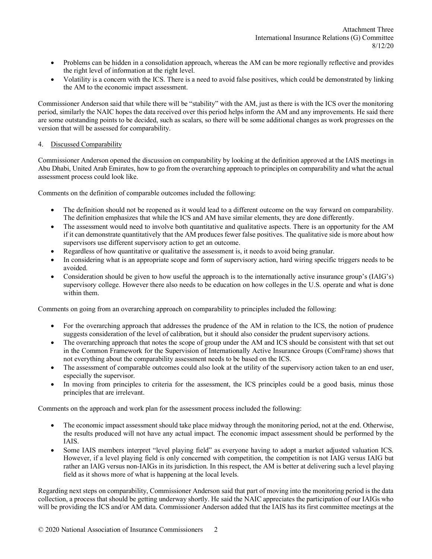- Problems can be hidden in a consolidation approach, whereas the AM can be more regionally reflective and provides the right level of information at the right level.
- Volatility is a concern with the ICS. There is a need to avoid false positives, which could be demonstrated by linking the AM to the economic impact assessment.

Commissioner Anderson said that while there will be "stability" with the AM, just as there is with the ICS over the monitoring period, similarly the NAIC hopes the data received over this period helps inform the AM and any improvements. He said there are some outstanding points to be decided, such as scalars, so there will be some additional changes as work progresses on the version that will be assessed for comparability.

# 4. Discussed Comparability

Commissioner Anderson opened the discussion on comparability by looking at the definition approved at the IAIS meetings in Abu Dhabi, United Arab Emirates, how to go from the overarching approach to principles on comparability and what the actual assessment process could look like.

Comments on the definition of comparable outcomes included the following:

- The definition should not be reopened as it would lead to a different outcome on the way forward on comparability. The definition emphasizes that while the ICS and AM have similar elements, they are done differently.
- The assessment would need to involve both quantitative and qualitative aspects. There is an opportunity for the AM if it can demonstrate quantitatively that the AM produces fewer false positives. The qualitative side is more about how supervisors use different supervisory action to get an outcome.
- Regardless of how quantitative or qualitative the assessment is, it needs to avoid being granular.
- In considering what is an appropriate scope and form of supervisory action, hard wiring specific triggers needs to be avoided.
- Consideration should be given to how useful the approach is to the internationally active insurance group's (IAIG's) supervisory college. However there also needs to be education on how colleges in the U.S. operate and what is done within them.

Comments on going from an overarching approach on comparability to principles included the following:

- For the overarching approach that addresses the prudence of the AM in relation to the ICS, the notion of prudence suggests consideration of the level of calibration, but it should also consider the prudent supervisory actions.
- The overarching approach that notes the scope of group under the AM and ICS should be consistent with that set out in the Common Framework for the Supervision of Internationally Active Insurance Groups (ComFrame) shows that not everything about the comparability assessment needs to be based on the ICS.
- The assessment of comparable outcomes could also look at the utility of the supervisory action taken to an end user, especially the supervisor.
- In moving from principles to criteria for the assessment, the ICS principles could be a good basis, minus those principles that are irrelevant.

Comments on the approach and work plan for the assessment process included the following:

- The economic impact assessment should take place midway through the monitoring period, not at the end. Otherwise, the results produced will not have any actual impact. The economic impact assessment should be performed by the IAIS.
- Some IAIS members interpret "level playing field" as everyone having to adopt a market adjusted valuation ICS. However, if a level playing field is only concerned with competition, the competition is not IAIG versus IAIG but rather an IAIG versus non-IAIGs in its jurisdiction. In this respect, the AM is better at delivering such a level playing field as it shows more of what is happening at the local levels.

Regarding next steps on comparability, Commissioner Anderson said that part of moving into the monitoring period is the data collection, a process that should be getting underway shortly. He said the NAIC appreciates the participation of our IAIGs who will be providing the ICS and/or AM data. Commissioner Anderson added that the IAIS has its first committee meetings at the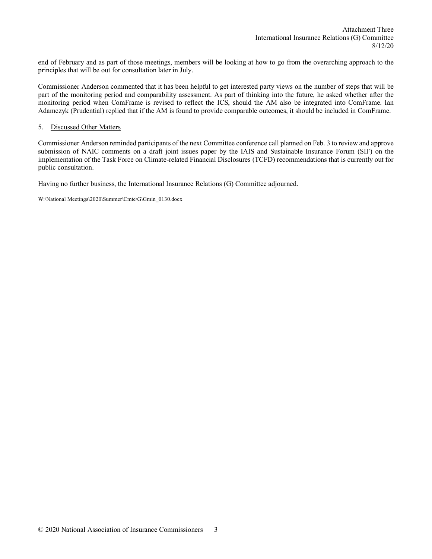end of February and as part of those meetings, members will be looking at how to go from the overarching approach to the principles that will be out for consultation later in July.

Commissioner Anderson commented that it has been helpful to get interested party views on the number of steps that will be part of the monitoring period and comparability assessment. As part of thinking into the future, he asked whether after the monitoring period when ComFrame is revised to reflect the ICS, should the AM also be integrated into ComFrame. Ian Adamczyk (Prudential) replied that if the AM is found to provide comparable outcomes, it should be included in ComFrame.

#### 5. Discussed Other Matters

Commissioner Anderson reminded participants of the next Committee conference call planned on Feb. 3 to review and approve submission of NAIC comments on a draft joint issues paper by the IAIS and Sustainable Insurance Forum (SIF) on the implementation of the Task Force on Climate-related Financial Disclosures (TCFD) recommendations that is currently out for public consultation.

Having no further business, the International Insurance Relations (G) Committee adjourned.

W:\National Meetings\2020\Summer\Cmte\G\Gmin\_0130.docx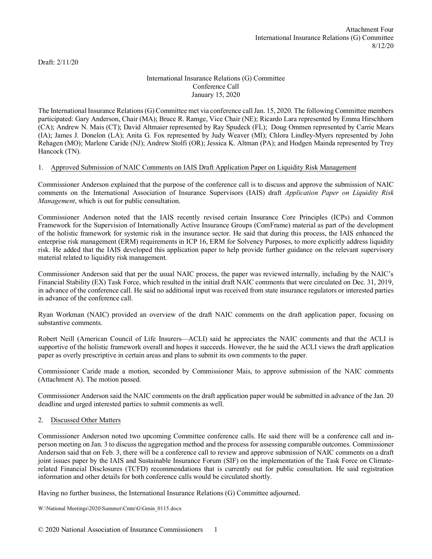Draft: 2/11/20

# International Insurance Relations (G) Committee Conference Call January 15, 2020

The International Insurance Relations (G) Committee met via conference call Jan. 15, 2020. The following Committee members participated: Gary Anderson, Chair (MA); Bruce R. Ramge, Vice Chair (NE); Ricardo Lara represented by Emma Hirschhorn (CA); Andrew N. Mais (CT); David Altmaier represented by Ray Spudeck (FL); Doug Ommen represented by Carrie Mears (IA); James J. Donelon (LA); Anita G. Fox represented by Judy Weaver (MI); Chlora Lindley-Myers represented by John Rehagen (MO); Marlene Caride (NJ); Andrew Stolfi (OR); Jessica K. Altman (PA); and Hodgen Mainda represented by Trey Hancock (TN).

# 1. Approved Submission of NAIC Comments on IAIS Draft Application Paper on Liquidity Risk Management

Commissioner Anderson explained that the purpose of the conference call is to discuss and approve the submission of NAIC comments on the International Association of Insurance Supervisors (IAIS) draft *Application Paper on Liquidity Risk Management*, which is out for public consultation.

Commissioner Anderson noted that the IAIS recently revised certain Insurance Core Principles (ICPs) and Common Framework for the Supervision of Internationally Active Insurance Groups (ComFrame) material as part of the development of the holistic framework for systemic risk in the insurance sector. He said that during this process, the IAIS enhanced the enterprise risk management (ERM) requirements in ICP 16, ERM for Solvency Purposes, to more explicitly address liquidity risk. He added that the IAIS developed this application paper to help provide further guidance on the relevant supervisory material related to liquidity risk management.

Commissioner Anderson said that per the usual NAIC process, the paper was reviewed internally, including by the NAIC's Financial Stability (EX) Task Force, which resulted in the initial draft NAIC comments that were circulated on Dec. 31, 2019, in advance of the conference call. He said no additional input was received from state insurance regulators or interested parties in advance of the conference call.

Ryan Workman (NAIC) provided an overview of the draft NAIC comments on the draft application paper, focusing on substantive comments.

Robert Neill (American Council of Life Insurers—ACLI) said he appreciates the NAIC comments and that the ACLI is supportive of the holistic framework overall and hopes it succeeds. However, the he said the ACLI views the draft application paper as overly prescriptive in certain areas and plans to submit its own comments to the paper.

Commissioner Caride made a motion, seconded by Commissioner Mais, to approve submission of the NAIC comments (Attachment A). The motion passed.

Commissioner Anderson said the NAIC comments on the draft application paper would be submitted in advance of the Jan. 20 deadline and urged interested parties to submit comments as well.

# 2. Discussed Other Matters

Commissioner Anderson noted two upcoming Committee conference calls. He said there will be a conference call and inperson meeting on Jan. 3 to discuss the aggregation method and the process for assessing comparable outcomes. Commissioner Anderson said that on Feb. 3, there will be a conference call to review and approve submission of NAIC comments on a draft joint issues paper by the IAIS and Sustainable Insurance Forum (SIF) on the implementation of the Task Force on Climaterelated Financial Disclosures (TCFD) recommendations that is currently out for public consultation. He said registration information and other details for both conference calls would be circulated shortly.

Having no further business, the International Insurance Relations (G) Committee adjourned.

W:\National Meetings\2020\Summer\Cmte\G\Gmin\_0115.docx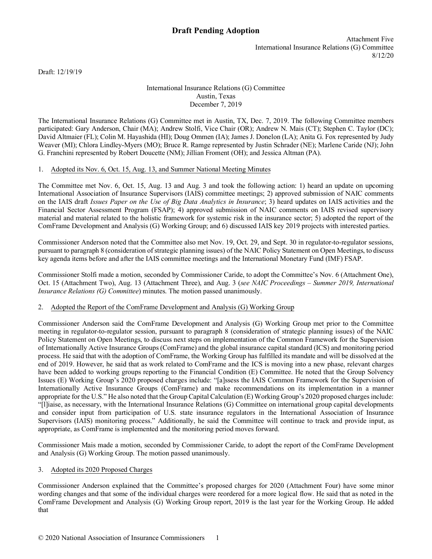Attachment Five International Insurance Relations (G) Committee 8/12/20

Draft: 12/19/19

### International Insurance Relations (G) Committee Austin, Texas December 7, 2019

The International Insurance Relations (G) Committee met in Austin, TX, Dec. 7, 2019. The following Committee members participated: Gary Anderson, Chair (MA); Andrew Stolfi, Vice Chair (OR); Andrew N. Mais (CT); Stephen C. Taylor (DC); David Altmaier (FL); Colin M. Hayashida (HI); Doug Ommen (IA); James J. Donelon (LA); Anita G. Fox represented by Judy Weaver (MI); Chlora Lindley-Myers (MO); Bruce R. Ramge represented by Justin Schrader (NE); Marlene Caride (NJ); John G. Franchini represented by Robert Doucette (NM); Jillian Froment (OH); and Jessica Altman (PA).

# 1. Adopted its Nov. 6, Oct. 15, Aug. 13, and Summer National Meeting Minutes

The Committee met Nov. 6, Oct. 15, Aug. 13 and Aug. 3 and took the following action: 1) heard an update on upcoming International Association of Insurance Supervisors (IAIS) committee meetings; 2) approved submission of NAIC comments on the IAIS draft *Issues Paper on the Use of Big Data Analytics in Insurance*; 3) heard updates on IAIS activities and the Financial Sector Assessment Program (FSAP); 4) approved submission of NAIC comments on IAIS revised supervisory material and material related to the holistic framework for systemic risk in the insurance sector; 5) adopted the report of the ComFrame Development and Analysis (G) Working Group; and 6) discussed IAIS key 2019 projects with interested parties.

Commissioner Anderson noted that the Committee also met Nov. 19, Oct. 29, and Sept. 30 in regulator-to-regulator sessions, pursuant to paragraph 8 (consideration of strategic planning issues) of the NAIC Policy Statement on Open Meetings, to discuss key agenda items before and after the IAIS committee meetings and the International Monetary Fund (IMF) FSAP.

Commissioner Stolfi made a motion, seconded by Commissioner Caride, to adopt the Committee's Nov. 6 (Attachment One), Oct. 15 (Attachment Two), Aug. 13 (Attachment Three), and Aug. 3 (*see NAIC Proceedings – Summer 2019, International Insurance Relations (G) Committee*) minutes. The motion passed unanimously.

# 2. Adopted the Report of the ComFrame Development and Analysis (G) Working Group

Commissioner Anderson said the ComFrame Development and Analysis (G) Working Group met prior to the Committee meeting in regulator-to-regulator session, pursuant to paragraph 8 (consideration of strategic planning issues) of the NAIC Policy Statement on Open Meetings, to discuss next steps on implementation of the Common Framework for the Supervision of Internationally Active Insurance Groups (ComFrame) and the global insurance capital standard (ICS) and monitoring period process. He said that with the adoption of ComFrame, the Working Group has fulfilled its mandate and will be dissolved at the end of 2019. However, he said that as work related to ComFrame and the ICS is moving into a new phase, relevant charges have been added to working groups reporting to the Financial Condition (E) Committee. He noted that the Group Solvency Issues (E) Working Group's 2020 proposed charges include: "[a]ssess the IAIS Common Framework for the Supervision of Internationally Active Insurance Groups (ComFrame) and make recommendations on its implementation in a manner appropriate for the U.S." He also noted that the Group Capital Calculation (E) Working Group's 2020 proposed charges include: "[l]iaise, as necessary, with the International Insurance Relations (G) Committee on international group capital developments and consider input from participation of U.S. state insurance regulators in the International Association of Insurance Supervisors (IAIS) monitoring process." Additionally, he said the Committee will continue to track and provide input, as appropriate, as ComFrame is implemented and the monitoring period moves forward.

Commissioner Mais made a motion, seconded by Commissioner Caride, to adopt the report of the ComFrame Development and Analysis (G) Working Group. The motion passed unanimously.

# 3. Adopted its 2020 Proposed Charges

Commissioner Anderson explained that the Committee's proposed charges for 2020 (Attachment Four) have some minor wording changes and that some of the individual charges were reordered for a more logical flow. He said that as noted in the ComFrame Development and Analysis (G) Working Group report, 2019 is the last year for the Working Group. He added that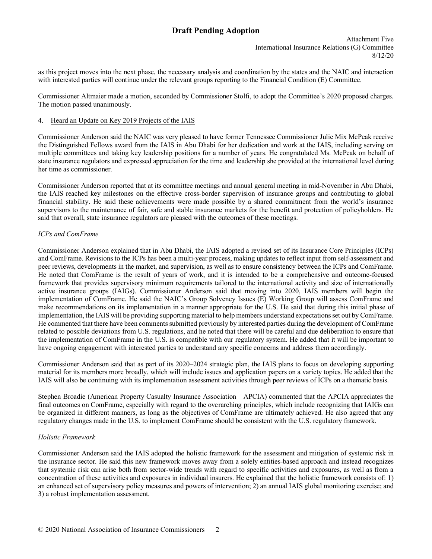Attachment Five International Insurance Relations (G) Committee 8/12/20

as this project moves into the next phase, the necessary analysis and coordination by the states and the NAIC and interaction with interested parties will continue under the relevant groups reporting to the Financial Condition (E) Committee.

Commissioner Altmaier made a motion, seconded by Commissioner Stolfi, to adopt the Committee's 2020 proposed charges. The motion passed unanimously.

### 4. Heard an Update on Key 2019 Projects of the IAIS

Commissioner Anderson said the NAIC was very pleased to have former Tennessee Commissioner Julie Mix McPeak receive the Distinguished Fellows award from the IAIS in Abu Dhabi for her dedication and work at the IAIS, including serving on multiple committees and taking key leadership positions for a number of years. He congratulated Ms. McPeak on behalf of state insurance regulators and expressed appreciation for the time and leadership she provided at the international level during her time as commissioner.

Commissioner Anderson reported that at its committee meetings and annual general meeting in mid-November in Abu Dhabi, the IAIS reached key milestones on the effective cross-border supervision of insurance groups and contributing to global financial stability. He said these achievements were made possible by a shared commitment from the world's insurance supervisors to the maintenance of fair, safe and stable insurance markets for the benefit and protection of policyholders. He said that overall, state insurance regulators are pleased with the outcomes of these meetings.

#### *ICPs and ComFrame*

Commissioner Anderson explained that in Abu Dhabi, the IAIS adopted a revised set of its Insurance Core Principles (ICPs) and ComFrame. Revisions to the ICPs has been a multi-year process, making updates to reflect input from self-assessment and peer reviews, developments in the market, and supervision, as well as to ensure consistency between the ICPs and ComFrame. He noted that ComFrame is the result of years of work, and it is intended to be a comprehensive and outcome-focused framework that provides supervisory minimum requirements tailored to the international activity and size of internationally active insurance groups (IAIGs). Commissioner Anderson said that moving into 2020, IAIS members will begin the implementation of ComFrame. He said the NAIC's Group Solvency Issues (E) Working Group will assess ComFrame and make recommendations on its implementation in a manner appropriate for the U.S. He said that during this initial phase of implementation, the IAIS will be providing supporting material to help members understand expectations set out by ComFrame. He commented that there have been comments submitted previously by interested parties during the development of ComFrame related to possible deviations from U.S. regulations, and he noted that there will be careful and due deliberation to ensure that the implementation of ComFrame in the U.S. is compatible with our regulatory system. He added that it will be important to have ongoing engagement with interested parties to understand any specific concerns and address them accordingly.

Commissioner Anderson said that as part of its 2020–2024 strategic plan, the IAIS plans to focus on developing supporting material for its members more broadly, which will include issues and application papers on a variety topics. He added that the IAIS will also be continuing with its implementation assessment activities through peer reviews of ICPs on a thematic basis.

Stephen Broadie (American Property Casualty Insurance Association—APCIA) commented that the APCIA appreciates the final outcomes on ComFrame, especially with regard to the overarching principles, which include recognizing that IAIGs can be organized in different manners, as long as the objectives of ComFrame are ultimately achieved. He also agreed that any regulatory changes made in the U.S. to implement ComFrame should be consistent with the U.S. regulatory framework.

# *Holistic Framework*

Commissioner Anderson said the IAIS adopted the holistic framework for the assessment and mitigation of systemic risk in the insurance sector. He said this new framework moves away from a solely entities-based approach and instead recognizes that systemic risk can arise both from sector-wide trends with regard to specific activities and exposures, as well as from a concentration of these activities and exposures in individual insurers. He explained that the holistic framework consists of: 1) an enhanced set of supervisory policy measures and powers of intervention; 2) an annual IAIS global monitoring exercise; and 3) a robust implementation assessment.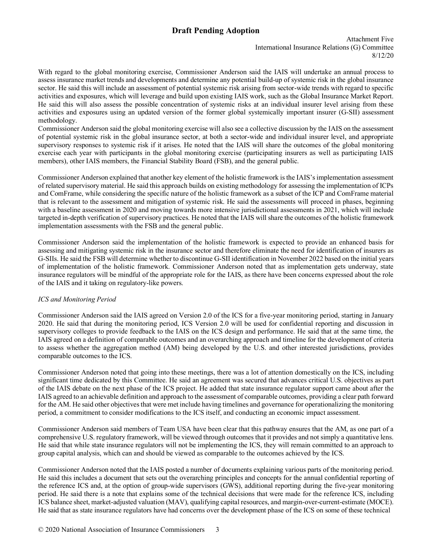Attachment Five International Insurance Relations (G) Committee 8/12/20

With regard to the global monitoring exercise, Commissioner Anderson said the IAIS will undertake an annual process to assess insurance market trends and developments and determine any potential build-up of systemic risk in the global insurance sector. He said this will include an assessment of potential systemic risk arising from sector-wide trends with regard to specific activities and exposures, which will leverage and build upon existing IAIS work, such as the Global Insurance Market Report. He said this will also assess the possible concentration of systemic risks at an individual insurer level arising from these activities and exposures using an updated version of the former global systemically important insurer (G-SII) assessment methodology.

Commissioner Anderson said the global monitoring exercise will also see a collective discussion by the IAIS on the assessment of potential systemic risk in the global insurance sector, at both a sector-wide and individual insurer level, and appropriate supervisory responses to systemic risk if it arises. He noted that the IAIS will share the outcomes of the global monitoring exercise each year with participants in the global monitoring exercise (participating insurers as well as participating IAIS members), other IAIS members, the Financial Stability Board (FSB), and the general public.

Commissioner Anderson explained that another key element of the holistic framework is the IAIS's implementation assessment of related supervisory material. He said this approach builds on existing methodology for assessing the implementation of ICPs and ComFrame, while considering the specific nature of the holistic framework as a subset of the ICP and ComFrame material that is relevant to the assessment and mitigation of systemic risk. He said the assessments will proceed in phases, beginning with a baseline assessment in 2020 and moving towards more intensive jurisdictional assessments in 2021, which will include targeted in-depth verification of supervisory practices. He noted that the IAIS will share the outcomes of the holistic framework implementation assessments with the FSB and the general public.

Commissioner Anderson said the implementation of the holistic framework is expected to provide an enhanced basis for assessing and mitigating systemic risk in the insurance sector and therefore eliminate the need for identification of insurers as G-SIIs. He said the FSB will determine whether to discontinue G-SII identification in November 2022 based on the initial years of implementation of the holistic framework. Commissioner Anderson noted that as implementation gets underway, state insurance regulators will be mindful of the appropriate role for the IAIS, as there have been concerns expressed about the role of the IAIS and it taking on regulatory-like powers.

# *ICS and Monitoring Period*

Commissioner Anderson said the IAIS agreed on Version 2.0 of the ICS for a five-year monitoring period, starting in January 2020. He said that during the monitoring period, ICS Version 2.0 will be used for confidential reporting and discussion in supervisory colleges to provide feedback to the IAIS on the ICS design and performance. He said that at the same time, the IAIS agreed on a definition of comparable outcomes and an overarching approach and timeline for the development of criteria to assess whether the aggregation method (AM) being developed by the U.S. and other interested jurisdictions, provides comparable outcomes to the ICS.

Commissioner Anderson noted that going into these meetings, there was a lot of attention domestically on the ICS, including significant time dedicated by this Committee. He said an agreement was secured that advances critical U.S. objectives as part of the IAIS debate on the next phase of the ICS project. He added that state insurance regulator support came about after the IAIS agreed to an achievable definition and approach to the assessment of comparable outcomes, providing a clear path forward for the AM. He said other objectives that were met include having timelines and governance for operationalizing the monitoring period, a commitment to consider modifications to the ICS itself, and conducting an economic impact assessment.

Commissioner Anderson said members of Team USA have been clear that this pathway ensures that the AM, as one part of a comprehensive U.S. regulatory framework, will be viewed through outcomes that it provides and not simply a quantitative lens. He said that while state insurance regulators will not be implementing the ICS, they will remain committed to an approach to group capital analysis, which can and should be viewed as comparable to the outcomes achieved by the ICS.

Commissioner Anderson noted that the IAIS posted a number of documents explaining various parts of the monitoring period. He said this includes a document that sets out the overarching principles and concepts for the annual confidential reporting of the reference ICS and, at the option of group-wide supervisors (GWS), additional reporting during the five-year monitoring period. He said there is a note that explains some of the technical decisions that were made for the reference ICS, including ICS balance sheet, market-adjusted valuation (MAV), qualifying capital resources, and margin-over-current-estimate (MOCE). He said that as state insurance regulators have had concerns over the development phase of the ICS on some of these technical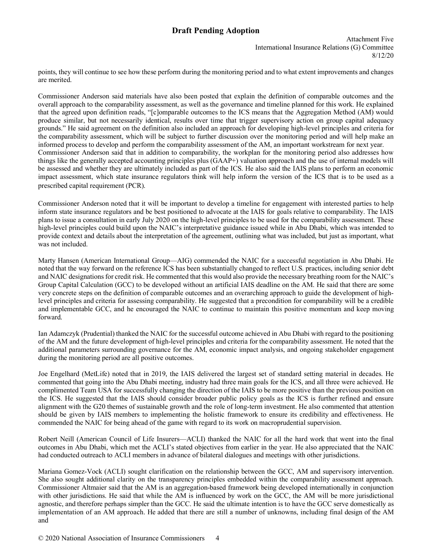Attachment Five International Insurance Relations (G) Committee 8/12/20

points, they will continue to see how these perform during the monitoring period and to what extent improvements and changes are merited.

Commissioner Anderson said materials have also been posted that explain the definition of comparable outcomes and the overall approach to the comparability assessment, as well as the governance and timeline planned for this work. He explained that the agreed upon definition reads, "[c]omparable outcomes to the ICS means that the Aggregation Method (AM) would produce similar, but not necessarily identical, results over time that trigger supervisory action on group capital adequacy grounds." He said agreement on the definition also included an approach for developing high-level principles and criteria for the comparability assessment, which will be subject to further discussion over the monitoring period and will help make an informed process to develop and perform the comparability assessment of the AM, an important workstream for next year. Commissioner Anderson said that in addition to comparability, the workplan for the monitoring period also addresses how things like the generally accepted accounting principles plus (GAAP+) valuation approach and the use of internal models will be assessed and whether they are ultimately included as part of the ICS. He also said the IAIS plans to perform an economic impact assessment, which state insurance regulators think will help inform the version of the ICS that is to be used as a prescribed capital requirement (PCR).

Commissioner Anderson noted that it will be important to develop a timeline for engagement with interested parties to help inform state insurance regulators and be best positioned to advocate at the IAIS for goals relative to comparability. The IAIS plans to issue a consultation in early July 2020 on the high-level principles to be used for the comparability assessment. These high-level principles could build upon the NAIC's interpretative guidance issued while in Abu Dhabi, which was intended to provide context and details about the interpretation of the agreement, outlining what was included, but just as important, what was not included.

Marty Hansen (American International Group—AIG) commended the NAIC for a successful negotiation in Abu Dhabi. He noted that the way forward on the reference ICS has been substantially changed to reflect U.S. practices, including senior debt and NAIC designations for credit risk. He commented that this would also provide the necessary breathing room for the NAIC's Group Capital Calculation (GCC) to be developed without an artificial IAIS deadline on the AM. He said that there are some very concrete steps on the definition of comparable outcomes and an overarching approach to guide the development of highlevel principles and criteria for assessing comparability. He suggested that a precondition for comparability will be a credible and implementable GCC, and he encouraged the NAIC to continue to maintain this positive momentum and keep moving forward.

Ian Adamczyk (Prudential) thanked the NAIC for the successful outcome achieved in Abu Dhabi with regard to the positioning of the AM and the future development of high-level principles and criteria for the comparability assessment. He noted that the additional parameters surrounding governance for the AM, economic impact analysis, and ongoing stakeholder engagement during the monitoring period are all positive outcomes.

Joe Engelhard (MetLife) noted that in 2019, the IAIS delivered the largest set of standard setting material in decades. He commented that going into the Abu Dhabi meeting, industry had three main goals for the ICS, and all three were achieved. He complimented Team USA for successfully changing the direction of the IAIS to be more positive than the previous position on the ICS. He suggested that the IAIS should consider broader public policy goals as the ICS is further refined and ensure alignment with the G20 themes of sustainable growth and the role of long-term investment. He also commented that attention should be given by IAIS members to implementing the holistic framework to ensure its credibility and effectiveness. He commended the NAIC for being ahead of the game with regard to its work on macroprudential supervision.

Robert Neill (American Council of Life Insurers—ACLI) thanked the NAIC for all the hard work that went into the final outcomes in Abu Dhabi, which met the ACLI's stated objectives from earlier in the year. He also appreciated that the NAIC had conducted outreach to ACLI members in advance of bilateral dialogues and meetings with other jurisdictions.

Mariana Gomez-Vock (ACLI) sought clarification on the relationship between the GCC, AM and supervisory intervention. She also sought additional clarity on the transparency principles embedded within the comparability assessment approach. Commissioner Altmaier said that the AM is an aggregation-based framework being developed internationally in conjunction with other jurisdictions. He said that while the AM is influenced by work on the GCC, the AM will be more jurisdictional agnostic, and therefore perhaps simpler than the GCC. He said the ultimate intention is to have the GCC serve domestically as implementation of an AM approach. He added that there are still a number of unknowns, including final design of the AM and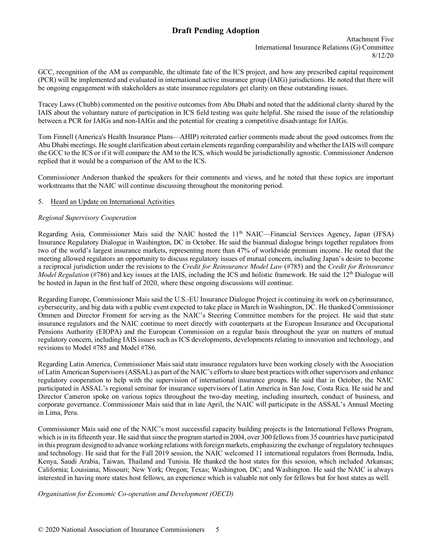Attachment Five International Insurance Relations (G) Committee 8/12/20

GCC, recognition of the AM as comparable, the ultimate fate of the ICS project, and how any prescribed capital requirement (PCR) will be implemented and evaluated in international active insurance group (IAIG) jurisdictions. He noted that there will be ongoing engagement with stakeholders as state insurance regulators get clarity on these outstanding issues.

Tracey Laws (Chubb) commented on the positive outcomes from Abu Dhabi and noted that the additional clarity shared by the IAIS about the voluntary nature of participation in ICS field testing was quite helpful. She raised the issue of the relationship between a PCR for IAIGs and non-IAIGs and the potential for creating a competitive disadvantage for IAIGs.

Tom Finnell (America's Health Insurance Plans—AHIP) reiterated earlier comments made about the good outcomes from the Abu Dhabi meetings. He sought clarification about certain elements regarding comparability and whether the IAIS will compare the GCC to the ICS or if it will compare the AM to the ICS, which would be jurisdictionally agnostic. Commissioner Anderson replied that it would be a comparison of the AM to the ICS.

Commissioner Anderson thanked the speakers for their comments and views, and he noted that these topics are important workstreams that the NAIC will continue discussing throughout the monitoring period.

# 5. Heard an Update on International Activities

# *Regional Supervisory Cooperation*

Regarding Asia, Commissioner Mais said the NAIC hosted the 11<sup>th</sup> NAIC—Financial Services Agency, Japan (JFSA) Insurance Regulatory Dialogue in Washington, DC in October. He said the biannual dialogue brings together regulators from two of the world's largest insurance markets, representing more than 47% of worldwide premium income. He noted that the meeting allowed regulators an opportunity to discuss regulatory issues of mutual concern, including Japan's desire to become a reciprocal jurisdiction under the revisions to the *Credit for Reinsurance Model Law* (#785) and the *Credit for Reinsurance Model Regulation* (#786) and key issues at the IAIS, including the ICS and holistic framework. He said the 12<sup>th</sup> Dialogue will be hosted in Japan in the first half of 2020, where these ongoing discussions will continue.

Regarding Europe, Commissioner Mais said the U.S.-EU Insurance Dialogue Project is continuing its work on cyberinsurance, cybersecurity, and big data with a public event expected to take place in March in Washington, DC. He thanked Commissioner Ommen and Director Froment for serving as the NAIC's Steering Committee members for the project. He said that state insurance regulators and the NAIC continue to meet directly with counterparts at the European Insurance and Occupational Pensions Authority (EIOPA) and the European Commission on a regular basis throughout the year on matters of mutual regulatory concern, including IAIS issues such as ICS developments, developments relating to innovation and technology, and revisions to Model #785 and Model #786.

Regarding Latin America, Commissioner Mais said state insurance regulators have been working closely with the Association of Latin American Supervisors (ASSAL) as part of the NAIC's effortsto share best practices with other supervisors and enhance regulatory cooperation to help with the supervision of international insurance groups. He said that in October, the NAIC participated in ASSAL's regional seminar for insurance supervisors of Latin America in San Jose, Costa Rica. He said he and Director Cameron spoke on various topics throughout the two-day meeting, including insurtech, conduct of business, and corporate governance. Commissioner Mais said that in late April, the NAIC will participate in the ASSAL's Annual Meeting in Lima, Peru.

Commissioner Mais said one of the NAIC's most successful capacity building projects is the International Fellows Program, which is in its fifteenth year. He said that since the program started in 2004, over 300 fellows from 35 countries have participated in this program designed to advance working relations with foreign markets, emphasizing the exchange of regulatory techniques and technology. He said that for the Fall 2019 session, the NAIC welcomed 11 international regulators from Bermuda, India, Kenya, Saudi Arabia, Taiwan, Thailand and Tunisia. He thanked the host states for this session, which included Arkansas; California; Louisiana; Missouri; New York; Oregon; Texas; Washington, DC; and Washington. He said the NAIC is always interested in having more states host fellows, an experience which is valuable not only for fellows but for host states as well.

*Organisation for Economic Co-operation and Development (OECD)*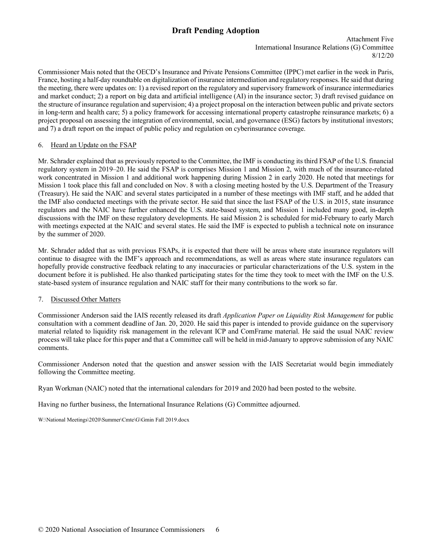Attachment Five International Insurance Relations (G) Committee 8/12/20

Commissioner Mais noted that the OECD's Insurance and Private Pensions Committee (IPPC) met earlier in the week in Paris, France, hosting a half-day roundtable on digitalization of insurance intermediation and regulatory responses. He said that during the meeting, there were updates on: 1) a revised report on the regulatory and supervisory framework of insurance intermediaries and market conduct; 2) a report on big data and artificial intelligence (AI) in the insurance sector; 3) draft revised guidance on the structure of insurance regulation and supervision; 4) a project proposal on the interaction between public and private sectors in long-term and health care; 5) a policy framework for accessing international property catastrophe reinsurance markets; 6) a project proposal on assessing the integration of environmental, social, and governance (ESG) factors by institutional investors; and 7) a draft report on the impact of public policy and regulation on cyberinsurance coverage.

# 6. Heard an Update on the FSAP

Mr. Schrader explained that as previously reported to the Committee, the IMF is conducting its third FSAP of the U.S. financial regulatory system in 2019–20. He said the FSAP is comprises Mission 1 and Mission 2, with much of the insurance-related work concentrated in Mission 1 and additional work happening during Mission 2 in early 2020. He noted that meetings for Mission 1 took place this fall and concluded on Nov. 8 with a closing meeting hosted by the U.S. Department of the Treasury (Treasury). He said the NAIC and several states participated in a number of these meetings with IMF staff, and he added that the IMF also conducted meetings with the private sector. He said that since the last FSAP of the U.S. in 2015, state insurance regulators and the NAIC have further enhanced the U.S. state-based system, and Mission 1 included many good, in-depth discussions with the IMF on these regulatory developments. He said Mission 2 is scheduled for mid-February to early March with meetings expected at the NAIC and several states. He said the IMF is expected to publish a technical note on insurance by the summer of 2020.

Mr. Schrader added that as with previous FSAPs, it is expected that there will be areas where state insurance regulators will continue to disagree with the IMF's approach and recommendations, as well as areas where state insurance regulators can hopefully provide constructive feedback relating to any inaccuracies or particular characterizations of the U.S. system in the document before it is published. He also thanked participating states for the time they took to meet with the IMF on the U.S. state-based system of insurance regulation and NAIC staff for their many contributions to the work so far.

# 7. Discussed Other Matters

Commissioner Anderson said the IAIS recently released its draft *Application Paper on Liquidity Risk Management* for public consultation with a comment deadline of Jan. 20, 2020. He said this paper is intended to provide guidance on the supervisory material related to liquidity risk management in the relevant ICP and ComFrame material. He said the usual NAIC review process will take place for this paper and that a Committee call will be held in mid-January to approve submission of any NAIC comments.

Commissioner Anderson noted that the question and answer session with the IAIS Secretariat would begin immediately following the Committee meeting.

Ryan Workman (NAIC) noted that the international calendars for 2019 and 2020 had been posted to the website.

Having no further business, the International Insurance Relations (G) Committee adjourned.

W:\National Meetings\2020\Summer\Cmte\G\Gmin Fall 2019.docx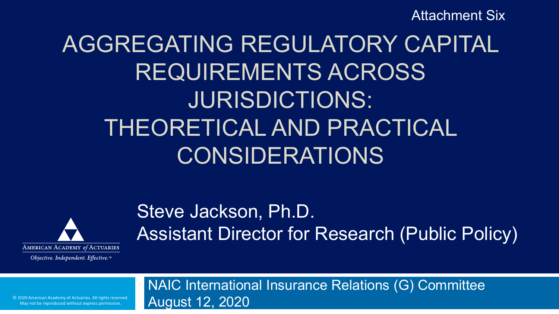Attachment Six

# AGGREGATING REGULATORY CAPITAL REQUIREMENTS ACROSS JURISDICTIONS: THEORETICAL AND PRACTICAL CONSIDERATIONS



Objective. Independent. Effective.™

# Steve Jackson, Ph.D. Assistant Director for Research (Public Policy)

NAIC International Insurance Relations (G) Committee August 12, 2020

© 2020 American Academy of Actuaries. All rights reserved. May not be reproduced without express permission.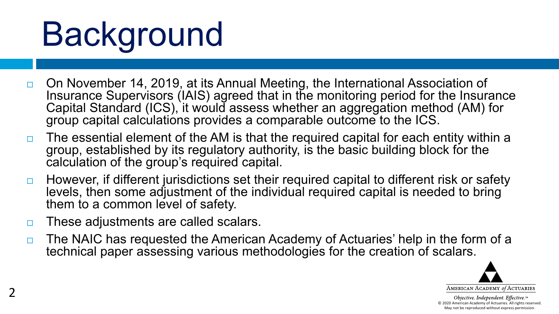# Background

- On November 14, 2019, at its Annual Meeting, the International Association of Insurance Supervisors (IAIS) agreed that in the monitoring period for the Insurance Capital Standard (ICS), it would assess whether an aggregation method (AM) for group capital calculations provides a comparable outcome to the ICS.
- $\Box$  The essential element of the AM is that the required capital for each entity within a group, established by its regulatory authority, is the basic building block for the calculation of the group's required capital.
- $\Box$  However, if different jurisdictions set their required capital to different risk or safety levels, then some adjustment of the individual required capital is needed to bring them to a common level of safety.
- □ These adjustments are called scalars.
- $\Box$  The NAIC has requested the American Academy of Actuaries' help in the form of a technical paper assessing various methodologies for the creation of scalars.

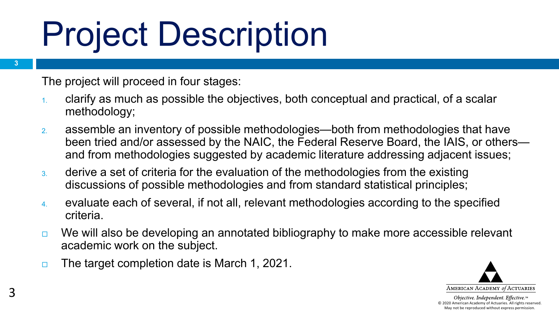# Project Description

The project will proceed in four stages:

- 1. clarify as much as possible the objectives, both conceptual and practical, of a scalar methodology;
- 2. assemble an inventory of possible methodologies—both from methodologies that have been tried and/or assessed by the NAIC, the Federal Reserve Board, the IAIS, or others and from methodologies suggested by academic literature addressing adjacent issues;
- 3. derive a set of criteria for the evaluation of the methodologies from the existing discussions of possible methodologies and from standard statistical principles;
- 4. evaluate each of several, if not all, relevant methodologies according to the specified criteria.
- $\Box$  We will also be developing an annotated bibliography to make more accessible relevant academic work on the subject.
- $\Box$  The target completion date is March 1, 2021.



Objective. Independent. Effective.™ © 2020 American Academy of Actuaries. All rights reserved. May not be reproduced without express permission.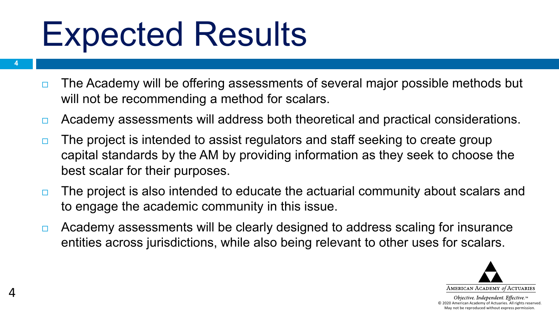# Expected Results

**4**

4

- $\Box$  The Academy will be offering assessments of several major possible methods but will not be recommending a method for scalars.
- □ Academy assessments will address both theoretical and practical considerations.
- $\Box$  The project is intended to assist regulators and staff seeking to create group capital standards by the AM by providing information as they seek to choose the best scalar for their purposes.
- □ The project is also intended to educate the actuarial community about scalars and to engage the academic community in this issue.
- □ Academy assessments will be clearly designed to address scaling for insurance entities across jurisdictions, while also being relevant to other uses for scalars.



Objective. Independent. Effective.™ © 2020 American Academy of Actuaries. All rights reserved. May not be reproduced without express permission.